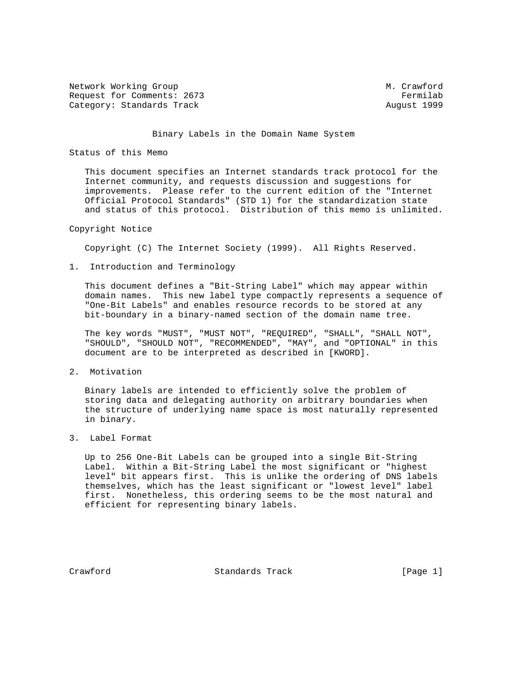Network Working Group M. Crawford Request for Comments: 2673 Fermilab Category: Standards Track August 1999

#### Binary Labels in the Domain Name System

## Status of this Memo

 This document specifies an Internet standards track protocol for the Internet community, and requests discussion and suggestions for improvements. Please refer to the current edition of the "Internet Official Protocol Standards" (STD 1) for the standardization state and status of this protocol. Distribution of this memo is unlimited.

## Copyright Notice

Copyright (C) The Internet Society (1999). All Rights Reserved.

1. Introduction and Terminology

 This document defines a "Bit-String Label" which may appear within domain names. This new label type compactly represents a sequence of "One-Bit Labels" and enables resource records to be stored at any bit-boundary in a binary-named section of the domain name tree.

 The key words "MUST", "MUST NOT", "REQUIRED", "SHALL", "SHALL NOT", "SHOULD", "SHOULD NOT", "RECOMMENDED", "MAY", and "OPTIONAL" in this document are to be interpreted as described in [KWORD].

2. Motivation

 Binary labels are intended to efficiently solve the problem of storing data and delegating authority on arbitrary boundaries when the structure of underlying name space is most naturally represented in binary.

3. Label Format

 Up to 256 One-Bit Labels can be grouped into a single Bit-String Label. Within a Bit-String Label the most significant or "highest level" bit appears first. This is unlike the ordering of DNS labels themselves, which has the least significant or "lowest level" label first. Nonetheless, this ordering seems to be the most natural and efficient for representing binary labels.

Crawford Standards Track [Page 1]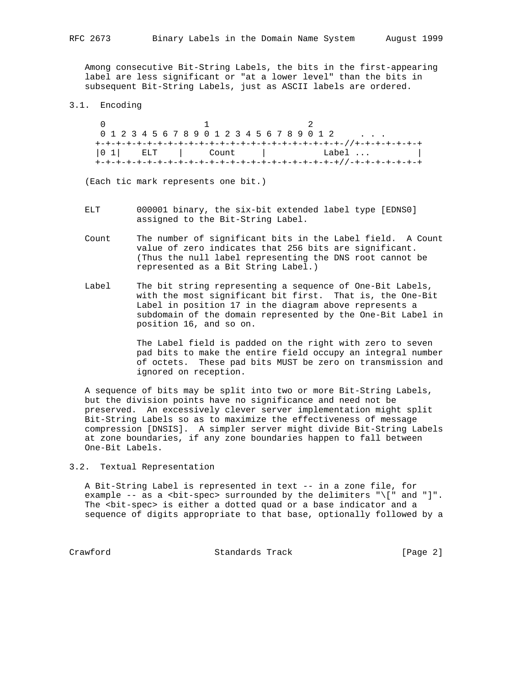Among consecutive Bit-String Labels, the bits in the first-appearing label are less significant or "at a lower level" than the bits in subsequent Bit-String Labels, just as ASCII labels are ordered.

### 3.1. Encoding

 $0$  and  $1$  and  $2$  0 1 2 3 4 5 6 7 8 9 0 1 2 3 4 5 6 7 8 9 0 1 2 . . . +-+-+-+-+-+-+-+-+-+-+-+-+-+-+-+-+-+-+-+-+-+-+-+-//+-+-+-+-+-+-+ |0 1| ELT | Count | Label ... | +-+-+-+-+-+-+-+-+-+-+-+-+-+-+-+-+-+-+-+-+-+-+-+//-+-+-+-+-+-+-+

(Each tic mark represents one bit.)

- ELT 000001 binary, the six-bit extended label type [EDNS0] assigned to the Bit-String Label.
- Count The number of significant bits in the Label field. A Count value of zero indicates that 256 bits are significant. (Thus the null label representing the DNS root cannot be represented as a Bit String Label.)
- Label The bit string representing a sequence of One-Bit Labels, with the most significant bit first. That is, the One-Bit Label in position 17 in the diagram above represents a subdomain of the domain represented by the One-Bit Label in position 16, and so on.

 The Label field is padded on the right with zero to seven pad bits to make the entire field occupy an integral number of octets. These pad bits MUST be zero on transmission and ignored on reception.

 A sequence of bits may be split into two or more Bit-String Labels, but the division points have no significance and need not be preserved. An excessively clever server implementation might split Bit-String Labels so as to maximize the effectiveness of message compression [DNSIS]. A simpler server might divide Bit-String Labels at zone boundaries, if any zone boundaries happen to fall between One-Bit Labels.

3.2. Textual Representation

 A Bit-String Label is represented in text -- in a zone file, for example -- as a <bit-spec> surrounded by the delimiters "\[" and "]". The <bit-spec> is either a dotted quad or a base indicator and a sequence of digits appropriate to that base, optionally followed by a

Crawford Standards Track [Page 2]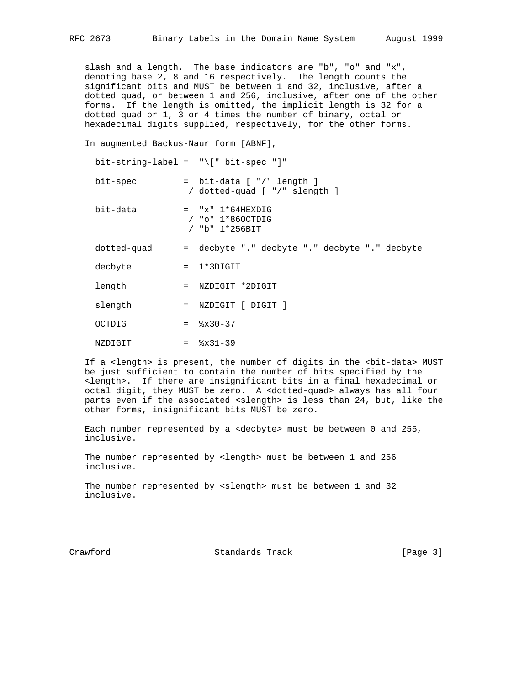slash and a length. The base indicators are "b", "o" and "x", denoting base 2, 8 and 16 respectively. The length counts the significant bits and MUST be between 1 and 32, inclusive, after a dotted quad, or between 1 and 256, inclusive, after one of the other forms. If the length is omitted, the implicit length is 32 for a dotted quad or 1, 3 or 4 times the number of binary, octal or hexadecimal digits supplied, respectively, for the other forms.

In augmented Backus-Naur form [ABNF],

|             | bit-string-label = $"\[ \ ]\]$ bit-spec "]"                          |
|-------------|----------------------------------------------------------------------|
| bit-spec    | = bit-data [ "/" length ]<br>/ dotted-quad [ "/" slength ]           |
| bit-data    | $=$ "x" $1*64$ HEXDIG<br>$/$ "o" $1*860$ CTDIG<br>$/$ "b" $1*256BIT$ |
| dotted-quad | = decbyte "." decbyte "." decbyte "." decbyte                        |
| decbyte     | $= 1*3$ DIGIT                                                        |
| length      | $=$ NZDIGIT *2DIGIT                                                  |
| slength     | $=$ NZDIGIT $\lceil$ DIGIT $\rceil$                                  |
| OCTDIG      | $=$ $\frac{8 \times 30 - 37}{ }$                                     |
| NZDIGIT     | $=$ $\frac{8x31-39}{ }$                                              |

 If a <length> is present, the number of digits in the <bit-data> MUST be just sufficient to contain the number of bits specified by the <length>. If there are insignificant bits in a final hexadecimal or octal digit, they MUST be zero. A <dotted-quad> always has all four parts even if the associated <slength> is less than 24, but, like the other forms, insignificant bits MUST be zero.

 Each number represented by a <decbyte> must be between 0 and 255, inclusive.

 The number represented by <length> must be between 1 and 256 inclusive.

The number represented by <slength> must be between 1 and 32 inclusive.

Crawford Standards Track [Page 3]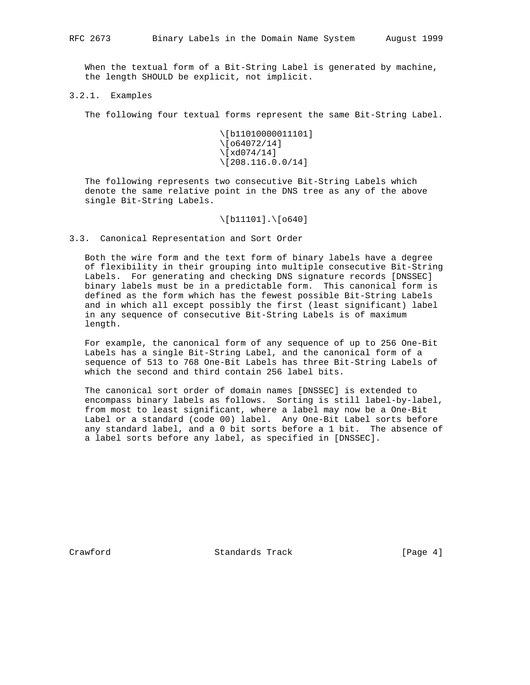When the textual form of a Bit-String Label is generated by machine, the length SHOULD be explicit, not implicit.

3.2.1. Examples

The following four textual forms represent the same Bit-String Label.

 \[b11010000011101] \[o64072/14] \[xd074/14] \[208.116.0.0/14]

 The following represents two consecutive Bit-String Labels which denote the same relative point in the DNS tree as any of the above single Bit-String Labels.

### \[b11101].\[o640]

3.3. Canonical Representation and Sort Order

 Both the wire form and the text form of binary labels have a degree of flexibility in their grouping into multiple consecutive Bit-String Labels. For generating and checking DNS signature records [DNSSEC] binary labels must be in a predictable form. This canonical form is defined as the form which has the fewest possible Bit-String Labels and in which all except possibly the first (least significant) label in any sequence of consecutive Bit-String Labels is of maximum length.

 For example, the canonical form of any sequence of up to 256 One-Bit Labels has a single Bit-String Label, and the canonical form of a sequence of 513 to 768 One-Bit Labels has three Bit-String Labels of which the second and third contain 256 label bits.

 The canonical sort order of domain names [DNSSEC] is extended to encompass binary labels as follows. Sorting is still label-by-label, from most to least significant, where a label may now be a One-Bit Label or a standard (code 00) label. Any One-Bit Label sorts before any standard label, and a 0 bit sorts before a 1 bit. The absence of a label sorts before any label, as specified in [DNSSEC].

Crawford **Standards Track** [Page 4]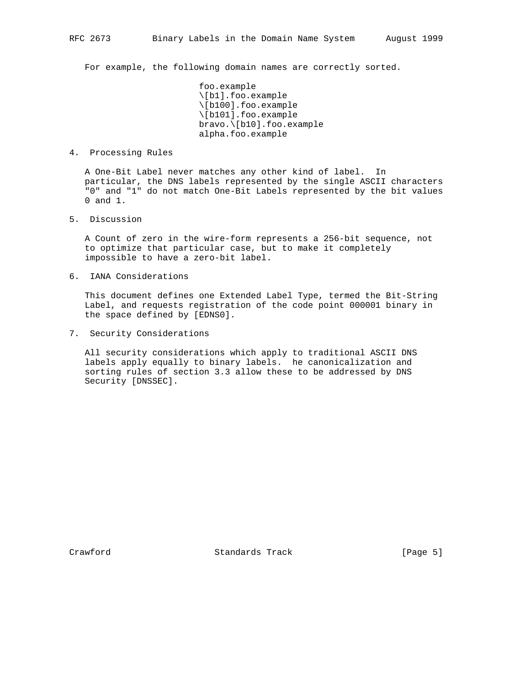For example, the following domain names are correctly sorted.

 foo.example \[b1].foo.example \[b100].foo.example \[b101].foo.example bravo.\[b10].foo.example alpha.foo.example

4. Processing Rules

 A One-Bit Label never matches any other kind of label. In particular, the DNS labels represented by the single ASCII characters "0" and "1" do not match One-Bit Labels represented by the bit values 0 and 1.

5. Discussion

 A Count of zero in the wire-form represents a 256-bit sequence, not to optimize that particular case, but to make it completely impossible to have a zero-bit label.

6. IANA Considerations

 This document defines one Extended Label Type, termed the Bit-String Label, and requests registration of the code point 000001 binary in the space defined by [EDNS0].

7. Security Considerations

 All security considerations which apply to traditional ASCII DNS labels apply equally to binary labels. he canonicalization and sorting rules of section 3.3 allow these to be addressed by DNS Security [DNSSEC].

Crawford **Standards Track** [Page 5]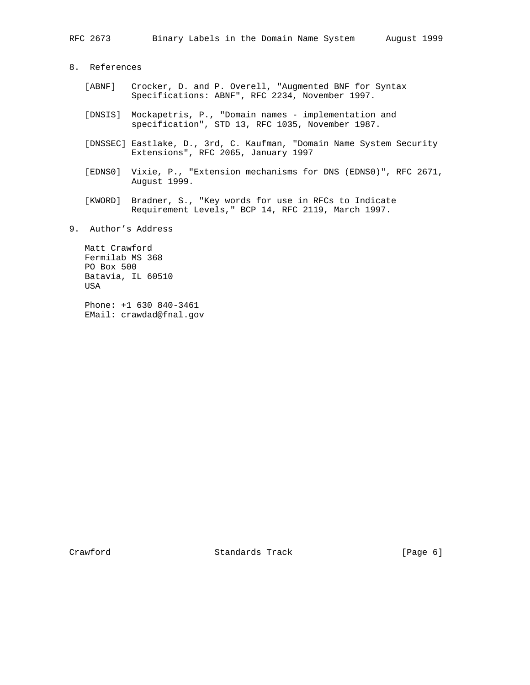# 8. References

- [ABNF] Crocker, D. and P. Overell, "Augmented BNF for Syntax Specifications: ABNF", RFC 2234, November 1997.
- [DNSIS] Mockapetris, P., "Domain names implementation and specification", STD 13, RFC 1035, November 1987.
- [DNSSEC] Eastlake, D., 3rd, C. Kaufman, "Domain Name System Security Extensions", RFC 2065, January 1997
- [EDNS0] Vixie, P., "Extension mechanisms for DNS (EDNS0)", RFC 2671, August 1999.
- [KWORD] Bradner, S., "Key words for use in RFCs to Indicate Requirement Levels," BCP 14, RFC 2119, March 1997.
- 9. Author's Address

 Matt Crawford Fermilab MS 368 PO Box 500 Batavia, IL 60510 USA

 Phone: +1 630 840-3461 EMail: crawdad@fnal.gov

Crawford Standards Track [Page 6]